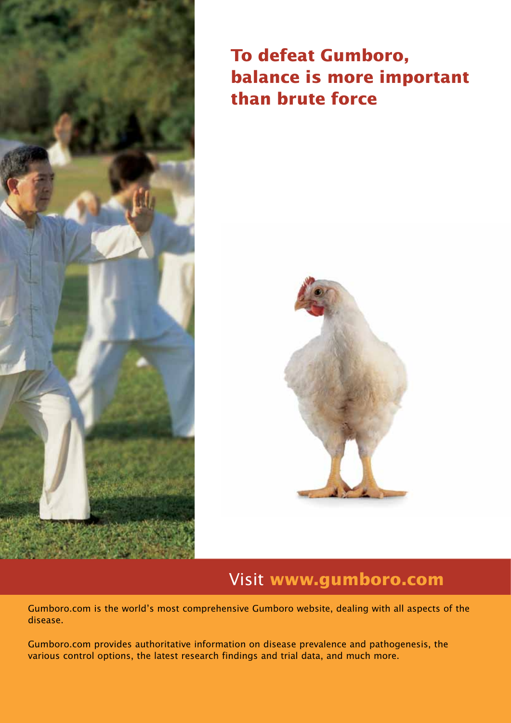

# **To defeat Gumboro, balance is more important than brute force**



# Visit **www.gumboro.com**

Gumboro.com is the world's most comprehensive Gumboro website, dealing with all aspects of the disease.

Gumboro.com provides authoritative information on disease prevalence and pathogenesis, the various control options, the latest research findings and trial data, and much more.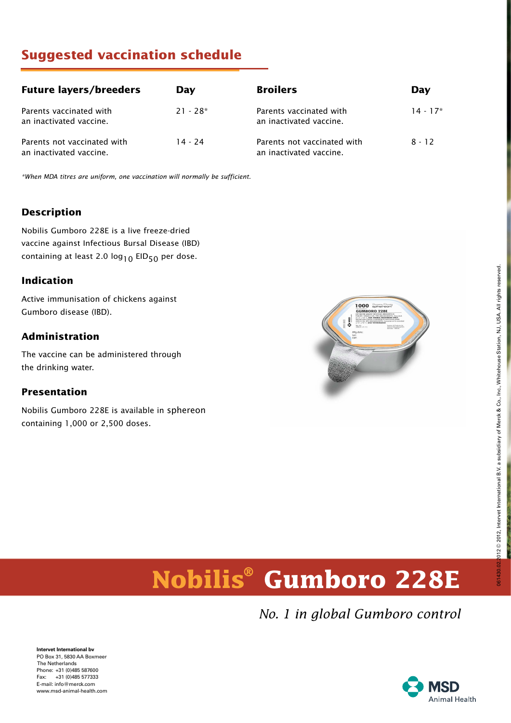# **Suggested vaccination schedule**

| <b>Future layers/breeders</b>                          | Day        | <b>Broilers</b>                                        | Day        |
|--------------------------------------------------------|------------|--------------------------------------------------------|------------|
| Parents vaccinated with<br>an inactivated vaccine.     | $21 - 28*$ | Parents vaccinated with<br>an inactivated vaccine.     | $14 - 17*$ |
| Parents not vaccinated with<br>an inactivated vaccine. | $14 - 24$  | Parents not vaccinated with<br>an inactivated vaccine. | $8 - 12$   |

\*When MDA titres are uniform, one vaccination will normally be sufficient.

#### **Description**

Nobilis Gumboro 228E is a live freeze-dried vaccine against Infectious Bursal Disease (IBD) containing at least 2.0  $log_{10}$  EID<sub>50</sub> per dose.

#### **Indication**

Active immunisation of chickens against Gumboro disease (IBD).

#### **Administration**

The vaccine can be administered through the drinking water.

#### **Presentation**

Nobilis Gumboro 228E is available in sphereon containing 1,000 or 2,500 doses.



# 012 @ 2012, Intervet International B.V. a subsidiary of Merck & Co., Inc., Whitehouse Station, NJ, USA. All rights reserved. 061430.02.2012 © 2012, Intervet International B.V. a subsidiary of Merck & Co., Inc., Whitehouse Station, NJ, USA. All rights reserved. D614

# **Nobilis® Gumboro 228E**

*No. 1 in global Gumboro control*

**Intervet International bv** PO Box 31, 5830 AA Boxmeer The Netherlands Phone: +31 (0)485 587600 Fax: +31 (0)485 577333 E-mail: info@merck.com www.msd-animal-health.com

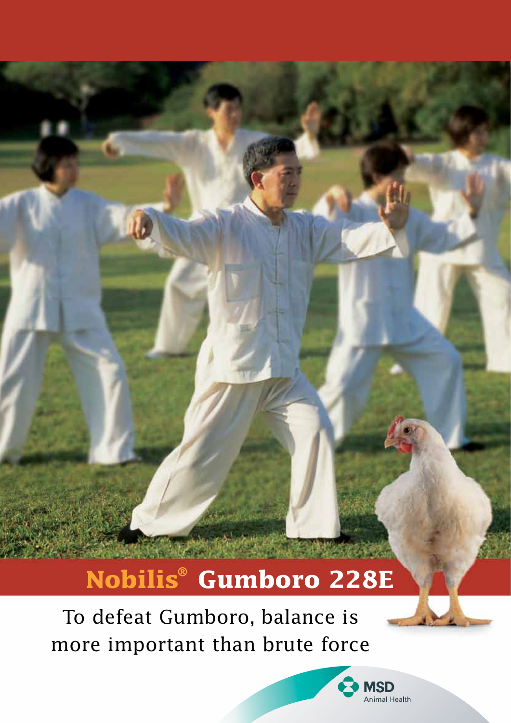# **Nobilis® Gumboro 228E**

To defeat Gumboro, balance is more important than brute force

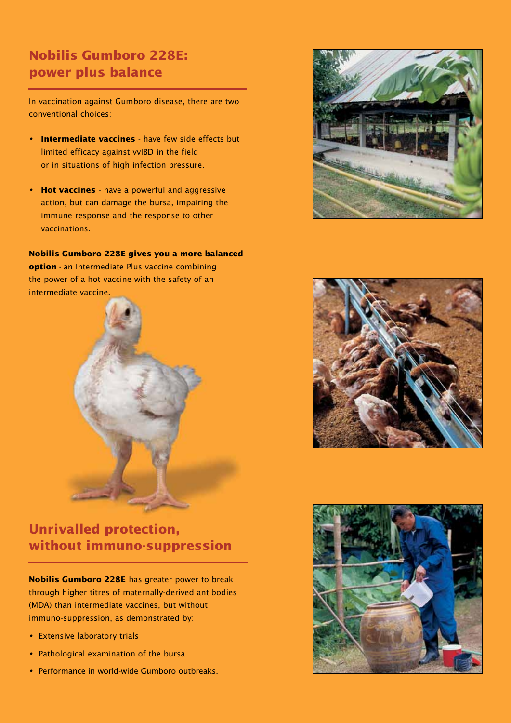# **Nobilis Gumboro 228E: power plus balance**

In vaccination against Gumboro disease, there are two conventional choices:

- **Intermediate vaccines** have few side effects but limited efficacy against vvIBD in the field or in situations of high infection pressure.
- **Hot vaccines** have a powerful and aggressive action, but can damage the bursa, impairing the immune response and the response to other vaccinations.

**Nobilis Gumboro 228E gives you a more balanced option -** an Intermediate Plus vaccine combining the power of a hot vaccine with the safety of an intermediate vaccine.



# **Unrivalled protection, without immuno-suppression**

**Nobilis Gumboro 228E** has greater power to break through higher titres of maternally-derived antibodies (MDA) than intermediate vaccines, but without immuno-suppression, as demonstrated by:

- Extensive laboratory trials
- Pathological examination of the bursa
- Performance in world-wide Gumboro outbreaks.





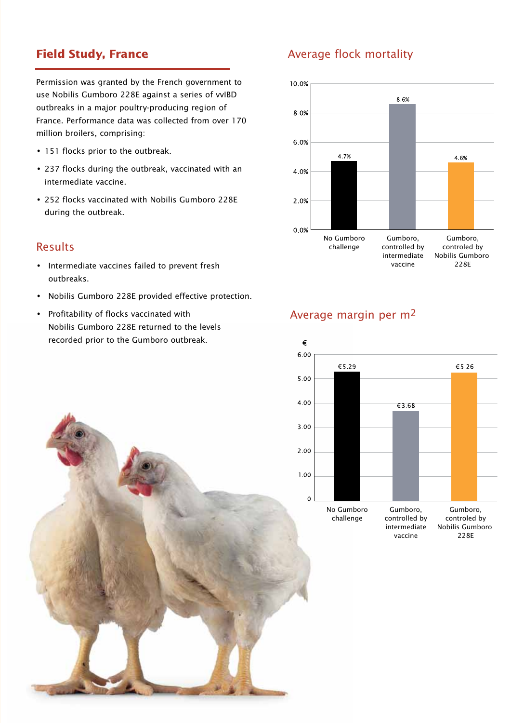# **Field Study, France**

Permission was granted by the French government to use Nobilis Gumboro 228E against a series of vvIBD outbreaks in a major poultry-producing region of France. Performance data was collected from over 170 million broilers, comprising:

- 151 flocks prior to the outbreak.
- 237 flocks during the outbreak, vaccinated with an intermediate vaccine.
- 252 flocks vaccinated with Nobilis Gumboro 228E during the outbreak.

#### Results

- Intermediate vaccines failed to prevent fresh outbreaks.
- Nobilis Gumboro 228E provided effective protection.
- Profitability of flocks vaccinated with Nobilis Gumboro 228E returned to the levels recorded prior to the Gumboro outbreak.

# Average flock mortality



# Average margin per m2